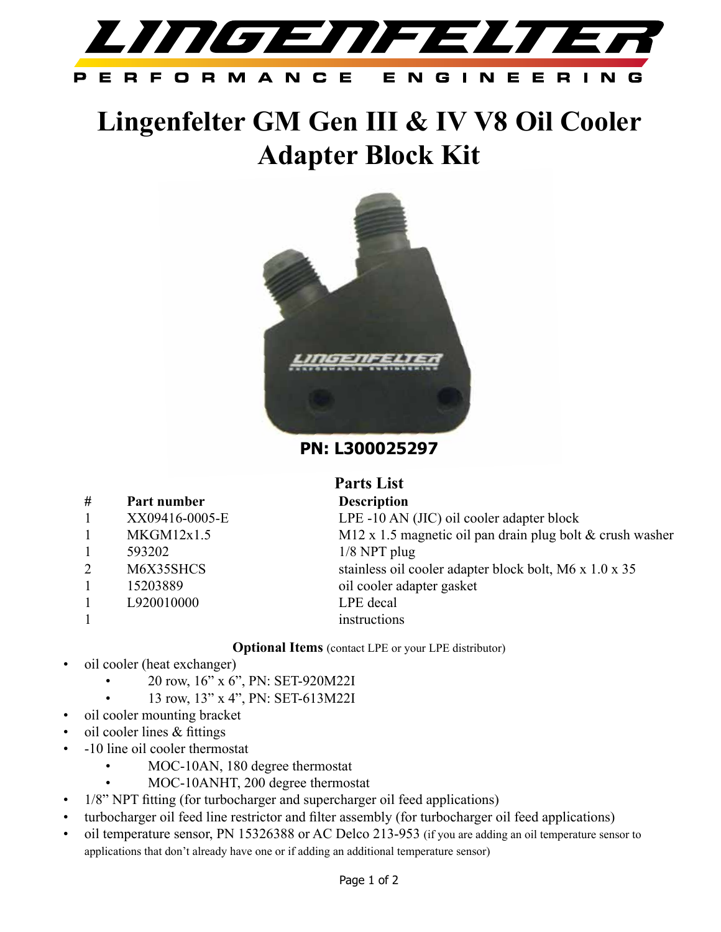

## **Lingenfelter GM Gen III & IV V8 Oil Cooler Adapter Block Kit**



**PN: L300025297**

| #              | Part number    | <b>Description</b>  |
|----------------|----------------|---------------------|
| 1              | XX09416-0005-E | LPE -10 AN          |
| 1              | MKGM12x1.5     | $M12 \times 1.5$ ma |
| 1              | 593202         | $1/8$ NPT plug      |
| $\overline{2}$ | M6X35SHCS      | stainless oil c     |
| 1              | 15203889       | oil cooler ada      |
| 1              | L920010000     | LPE decal           |
|                |                | instructions        |

**Parts List** AN (JIC) oil cooler adapter block  $\overline{5}$  magnetic oil pan drain plug bolt  $\&$  crush washer  $2$ bil cooler adapter block bolt, M6 x 1.0 x 35 adapter gasket *instructions* 

**Optional Items** (contact LPE or your LPE distributor)

- oil cooler (heat exchanger)
	- 20 row, 16" x 6", PN: SET-920M22I
		- 13 row, 13" x 4", PN: SET-613M22I
- oil cooler mounting bracket
- oil cooler lines  $&$  fittings
- -10 line oil cooler thermostat
	- MOC-10AN, 180 degree thermostat
	- MOC-10ANHT, 200 degree thermostat
- 1/8" NPT fitting (for turbocharger and supercharger oil feed applications)
- turbocharger oil feed line restrictor and filter assembly (for turbocharger oil feed applications)
- oil temperature sensor, PN 15326388 or AC Delco 213-953 (if you are adding an oil temperature sensor to applications that don't already have one or if adding an additional temperature sensor)